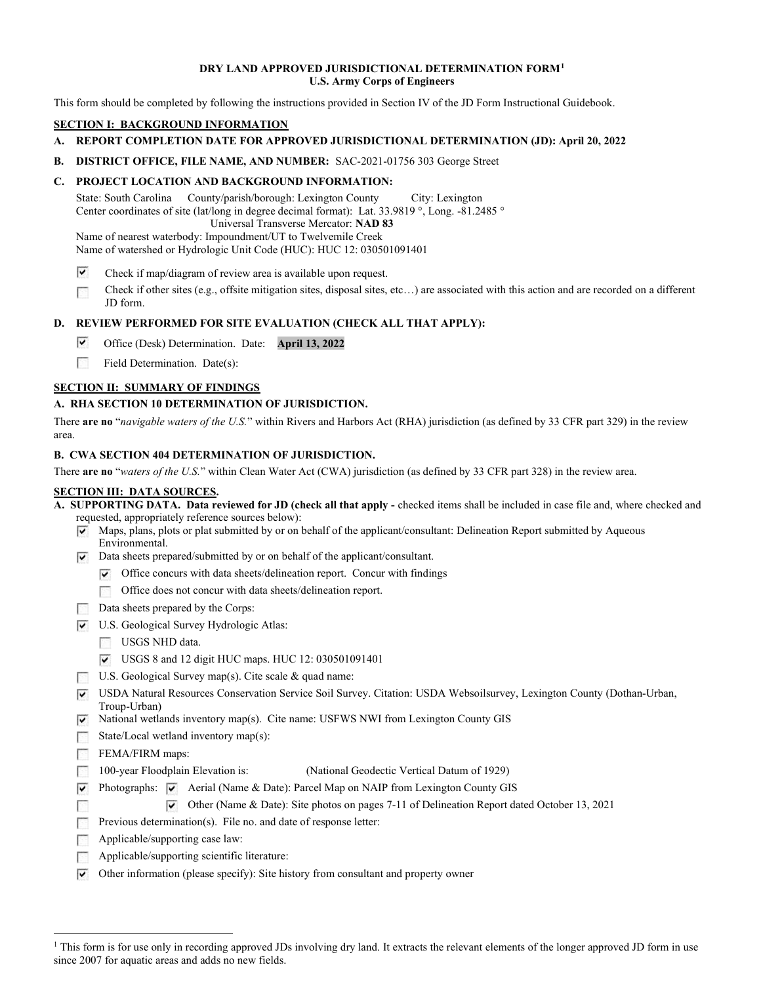### DRY LAND APPROVED JURISDICTIONAL DETERMINATION FORM1 U.S. Army Corps of Engineers

This form should be completed by following the instructions provided in Section IV of the JD Form Instructional Guidebook.

#### SECTION I: BACKGROUND INFORMATION

- A. REPORT COMPLETION DATE FOR APPROVED JURISDICTIONAL DETERMINATION (JD): April 20, 2022
- B. DISTRICT OFFICE, FILE NAME, AND NUMBER: SAC-2021-01756 303 George Street

# C. PROJECT LOCATION AND BACKGROUND INFORMATION:

State: South Carolina Center coordinates of site (lat/long in degree decimal format): Lat. 33.9819 °, Long. -81.2485 ° Name of nearest waterbody: Impoundment/UT to Twelvemile Creek County/parish/borough: Lexington County City: Lexington Universal Transverse Mercator: NAD 83

Name of watershed or Hydrologic Unit Code (HUC): HUC 12: 030501091401

- ⊽ Check if map/diagram of review area is available upon request.
- Check if other sites (e.g., offsite mitigation sites, disposal sites, etc…) are associated with this action and are recorded on a different 15 JD form.

# D. REVIEW PERFORMED FOR SITE EVALUATION (CHECK ALL THAT APPLY):

- ▽ Office (Desk) Determination. Date: April 13, 2022
- $\mathcal{L}(\mathcal{C})$ Field Determination. Date(s):

# SECTION II: SUMMARY OF FINDINGS

# A. RHA SECTION 10 DETERMINATION OF JURISDICTION.

There are no "navigable waters of the U.S." within Rivers and Harbors Act (RHA) jurisdiction (as defined by 33 CFR part 329) in the review area.

#### B. CWA SECTION 404 DETERMINATION OF JURISDICTION.

There are no "waters of the U.S." within Clean Water Act (CWA) jurisdiction (as defined by 33 CFR part 328) in the review area.

#### SECTION III: DATA SOURCES.

 A. SUPPORTING DATA. Data reviewed for JD (check all that apply - checked items shall be included in case file and, where checked and requested, appropriately reference sources below):

- Maps, plans, plots or plat submitted by or on behalf of the applicant/consultant: Delineation Report submitted by Aqueous Environmental.
- Data sheets prepared/submitted by or on behalf of the applicant/consultant.
	- Office concurs with data sheets/delineation report. Concur with findings
	- Office does not concur with data sheets/delineation report.
- Data sheets prepared by the Corps:
- U.S. Geological Survey Hydrologic Atlas:
	- USGS NHD data.
	- USGS 8 and 12 digit HUC maps. HUC 12: 030501091401
- U.S. Geological Survey map(s). Cite scale & quad name:
- USDA Natural Resources Conservation Service Soil Survey. Citation: USDA Websoilsurvey, Lexington County (Dothan-Urban, Troup-Urban)
- National wetlands inventory map(s). Cite name: USFWS NWI from Lexington County GIS
- State/Local wetland inventory map(s):

FEMA/FIRM maps:

Г

- 100-year Floodplain Elevation is: (National Geodectic Vertical Datum of 1929)  $\sim 100$
- Photographs:  $\overline{\triangledown}$  Aerial (Name & Date): Parcel Map on NAIP from Lexington County GIS
	- Other (Name & Date): Site photos on pages 7-11 of Delineation Report dated October 13, 2021
- Previous determination(s). File no. and date of response letter:
- Applicable/supporting case law:
- Applicable/supporting scientific literature:
- Other information (please specify): Site history from consultant and property owner

<sup>&</sup>lt;sup>1</sup> This form is for use only in recording approved JDs involving dry land. It extracts the relevant elements of the longer approved JD form in use since 2007 for aquatic areas and adds no new fields.